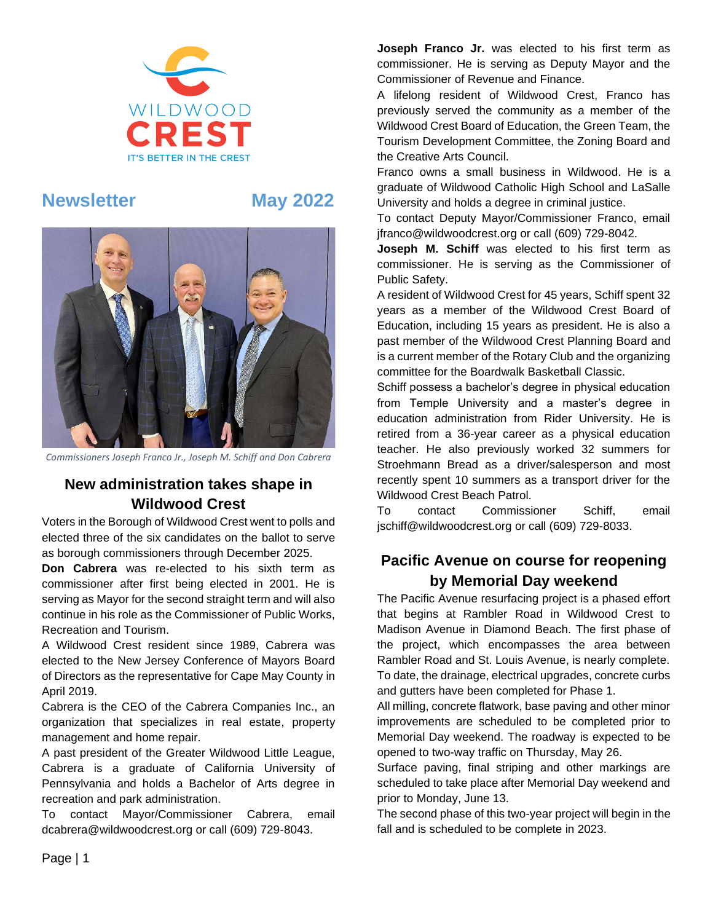

# **Newsletter May 2022**



*Commissioners Joseph Franco Jr., Joseph M. Schiff and Don Cabrera*

## **New administration takes shape in Wildwood Crest**

Voters in the Borough of Wildwood Crest went to polls and elected three of the six candidates on the ballot to serve as borough commissioners through December 2025.

**Don Cabrera** was re-elected to his sixth term as commissioner after first being elected in 2001. He is serving as Mayor for the second straight term and will also continue in his role as the Commissioner of Public Works, Recreation and Tourism.

A Wildwood Crest resident since 1989, Cabrera was elected to the New Jersey Conference of Mayors Board of Directors as the representative for Cape May County in April 2019.

Cabrera is the CEO of the Cabrera Companies Inc., an organization that specializes in real estate, property management and home repair.

A past president of the Greater Wildwood Little League, Cabrera is a graduate of California University of Pennsylvania and holds a Bachelor of Arts degree in recreation and park administration.

To contact Mayor/Commissioner Cabrera, email dcabrera@wildwoodcrest.org or call (609) 729-8043.

**Joseph Franco Jr.** was elected to his first term as commissioner. He is serving as Deputy Mayor and the Commissioner of Revenue and Finance.

A lifelong resident of Wildwood Crest, Franco has previously served the community as a member of the Wildwood Crest Board of Education, the Green Team, the Tourism Development Committee, the Zoning Board and the Creative Arts Council.

Franco owns a small business in Wildwood. He is a graduate of Wildwood Catholic High School and LaSalle University and holds a degree in criminal justice.

To contact Deputy Mayor/Commissioner Franco, email jfranco@wildwoodcrest.org or call (609) 729-8042.

**Joseph M. Schiff** was elected to his first term as commissioner. He is serving as the Commissioner of Public Safety.

A resident of Wildwood Crest for 45 years, Schiff spent 32 years as a member of the Wildwood Crest Board of Education, including 15 years as president. He is also a past member of the Wildwood Crest Planning Board and is a current member of the Rotary Club and the organizing committee for the Boardwalk Basketball Classic.

Schiff possess a bachelor's degree in physical education from Temple University and a master's degree in education administration from Rider University. He is retired from a 36-year career as a physical education teacher. He also previously worked 32 summers for Stroehmann Bread as a driver/salesperson and most recently spent 10 summers as a transport driver for the Wildwood Crest Beach Patrol.

To contact Commissioner Schiff, email jschiff@wildwoodcrest.org or call (609) 729-8033.

## **Pacific Avenue on course for reopening by Memorial Day weekend**

The Pacific Avenue resurfacing project is a phased effort that begins at Rambler Road in Wildwood Crest to Madison Avenue in Diamond Beach. The first phase of the project, which encompasses the area between Rambler Road and St. Louis Avenue, is nearly complete. To date, the drainage, electrical upgrades, concrete curbs and gutters have been completed for Phase 1.

All milling, concrete flatwork, base paving and other minor improvements are scheduled to be completed prior to Memorial Day weekend. The roadway is expected to be opened to two-way traffic on Thursday, May 26.

Surface paving, final striping and other markings are scheduled to take place after Memorial Day weekend and prior to Monday, June 13.

The second phase of this two-year project will begin in the fall and is scheduled to be complete in 2023.

Page | 1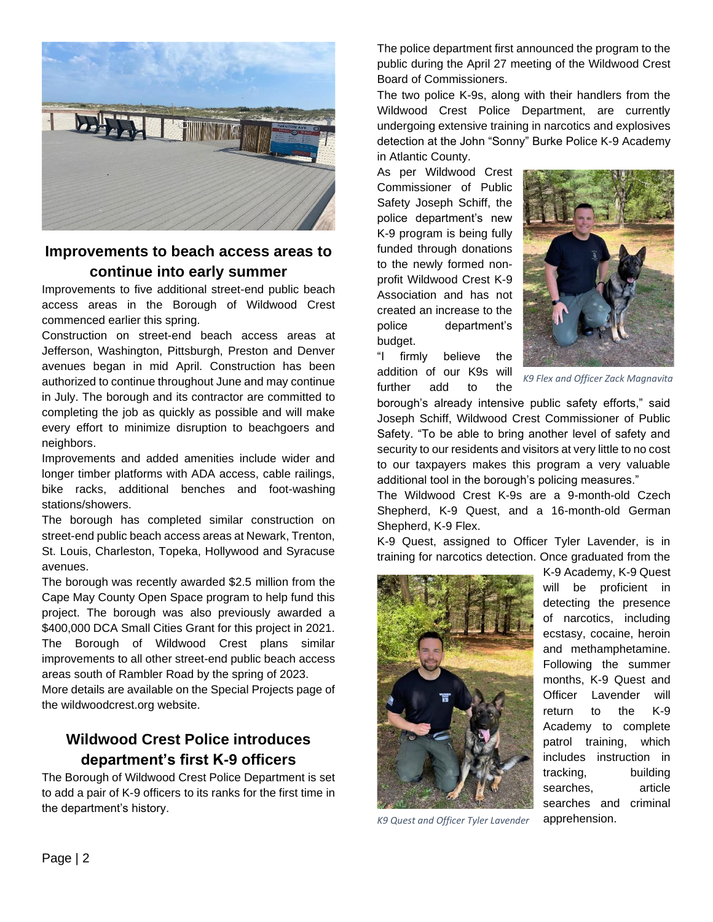

### **Improvements to beach access areas to continue into early summer**

Improvements to five additional street-end public beach access areas in the Borough of Wildwood Crest commenced earlier this spring.

Construction on street-end beach access areas at Jefferson, Washington, Pittsburgh, Preston and Denver avenues began in mid April. Construction has been authorized to continue throughout June and may continue in July. The borough and its contractor are committed to completing the job as quickly as possible and will make every effort to minimize disruption to beachgoers and neighbors.

Improvements and added amenities include wider and longer timber platforms with ADA access, cable railings, bike racks, additional benches and foot-washing stations/showers.

The borough has completed similar construction on street-end public beach access areas at Newark, Trenton, St. Louis, Charleston, Topeka, Hollywood and Syracuse avenues.

The borough was recently awarded \$2.5 million from the Cape May County Open Space program to help fund this project. The borough was also previously awarded a \$400,000 DCA Small Cities Grant for this project in 2021. The Borough of Wildwood Crest plans similar improvements to all other street-end public beach access areas south of Rambler Road by the spring of 2023.

More details are available on the Special Projects page of the wildwoodcrest.org website.

## **Wildwood Crest Police introduces department's first K-9 officers**

The Borough of Wildwood Crest Police Department is set to add a pair of K-9 officers to its ranks for the first time in the department's history.

The police department first announced the program to the public during the April 27 meeting of the Wildwood Crest Board of Commissioners.

The two police K-9s, along with their handlers from the Wildwood Crest Police Department, are currently undergoing extensive training in narcotics and explosives detection at the John "Sonny" Burke Police K-9 Academy in Atlantic County.

As per Wildwood Crest Commissioner of Public Safety Joseph Schiff, the police department's new K-9 program is being fully funded through donations to the newly formed nonprofit Wildwood Crest K-9 Association and has not created an increase to the police department's budget.



"I firmly believe the addition of our K9s will further add to the

*K9 Flex and Officer Zack Magnavita*

borough's already intensive public safety efforts," said Joseph Schiff, Wildwood Crest Commissioner of Public Safety. "To be able to bring another level of safety and security to our residents and visitors at very little to no cost to our taxpayers makes this program a very valuable additional tool in the borough's policing measures."

The Wildwood Crest K-9s are a 9-month-old Czech Shepherd, K-9 Quest, and a 16-month-old German Shepherd, K-9 Flex.

K-9 Quest, assigned to Officer Tyler Lavender, is in training for narcotics detection. Once graduated from the



*K9 Quest and Officer Tyler Lavender*

K-9 Academy, K-9 Quest will be proficient in detecting the presence of narcotics, including ecstasy, cocaine, heroin and methamphetamine. Following the summer months, K-9 Quest and Officer Lavender will return to the K-9 Academy to complete patrol training, which includes instruction in tracking, building searches, article searches and criminal apprehension.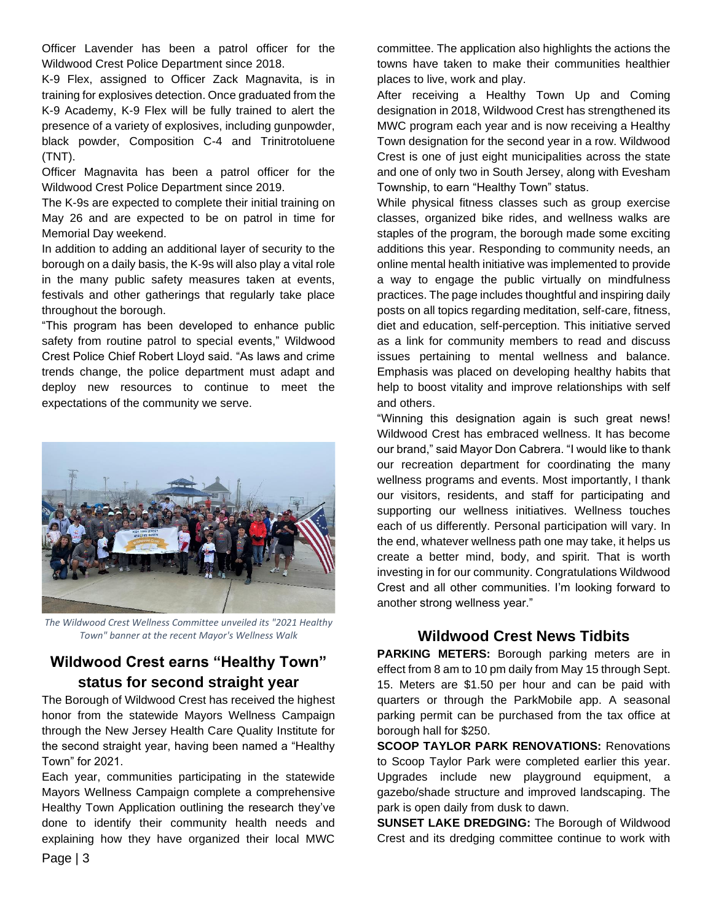Officer Lavender has been a patrol officer for the Wildwood Crest Police Department since 2018.

K-9 Flex, assigned to Officer Zack Magnavita, is in training for explosives detection. Once graduated from the K-9 Academy, K-9 Flex will be fully trained to alert the presence of a variety of explosives, including gunpowder, black powder, Composition C-4 and Trinitrotoluene (TNT).

Officer Magnavita has been a patrol officer for the Wildwood Crest Police Department since 2019.

The K-9s are expected to complete their initial training on May 26 and are expected to be on patrol in time for Memorial Day weekend.

In addition to adding an additional layer of security to the borough on a daily basis, the K-9s will also play a vital role in the many public safety measures taken at events, festivals and other gatherings that regularly take place throughout the borough.

"This program has been developed to enhance public safety from routine patrol to special events," Wildwood Crest Police Chief Robert Lloyd said. "As laws and crime trends change, the police department must adapt and deploy new resources to continue to meet the expectations of the community we serve.



*The Wildwood Crest Wellness Committee unveiled its "2021 Healthy Town" banner at the recent Mayor's Wellness Walk*

## **Wildwood Crest earns "Healthy Town" status for second straight year**

The Borough of Wildwood Crest has received the highest honor from the statewide Mayors Wellness Campaign through the New Jersey Health Care Quality Institute for the second straight year, having been named a "Healthy Town" for 2021.

Each year, communities participating in the statewide Mayors Wellness Campaign complete a comprehensive Healthy Town Application outlining the research they've done to identify their community health needs and explaining how they have organized their local MWC committee. The application also highlights the actions the towns have taken to make their communities healthier places to live, work and play.

After receiving a Healthy Town Up and Coming designation in 2018, Wildwood Crest has strengthened its MWC program each year and is now receiving a Healthy Town designation for the second year in a row. Wildwood Crest is one of just eight municipalities across the state and one of only two in South Jersey, along with Evesham Township, to earn "Healthy Town" status.

While physical fitness classes such as group exercise classes, organized bike rides, and wellness walks are staples of the program, the borough made some exciting additions this year. Responding to community needs, an online mental health initiative was implemented to provide a way to engage the public virtually on mindfulness practices. The page includes thoughtful and inspiring daily posts on all topics regarding meditation, self-care, fitness, diet and education, self-perception. This initiative served as a link for community members to read and discuss issues pertaining to mental wellness and balance. Emphasis was placed on developing healthy habits that help to boost vitality and improve relationships with self and others.

"Winning this designation again is such great news! Wildwood Crest has embraced wellness. It has become our brand," said Mayor Don Cabrera. "I would like to thank our recreation department for coordinating the many wellness programs and events. Most importantly, I thank our visitors, residents, and staff for participating and supporting our wellness initiatives. Wellness touches each of us differently. Personal participation will vary. In the end, whatever wellness path one may take, it helps us create a better mind, body, and spirit. That is worth investing in for our community. Congratulations Wildwood Crest and all other communities. I'm looking forward to another strong wellness year."

### **Wildwood Crest News Tidbits**

**PARKING METERS:** Borough parking meters are in effect from 8 am to 10 pm daily from May 15 through Sept. 15. Meters are \$1.50 per hour and can be paid with quarters or through the ParkMobile app. A seasonal parking permit can be purchased from the tax office at borough hall for \$250.

**SCOOP TAYLOR PARK RENOVATIONS:** Renovations to Scoop Taylor Park were completed earlier this year. Upgrades include new playground equipment, a gazebo/shade structure and improved landscaping. The park is open daily from dusk to dawn.

**SUNSET LAKE DREDGING:** The Borough of Wildwood Crest and its dredging committee continue to work with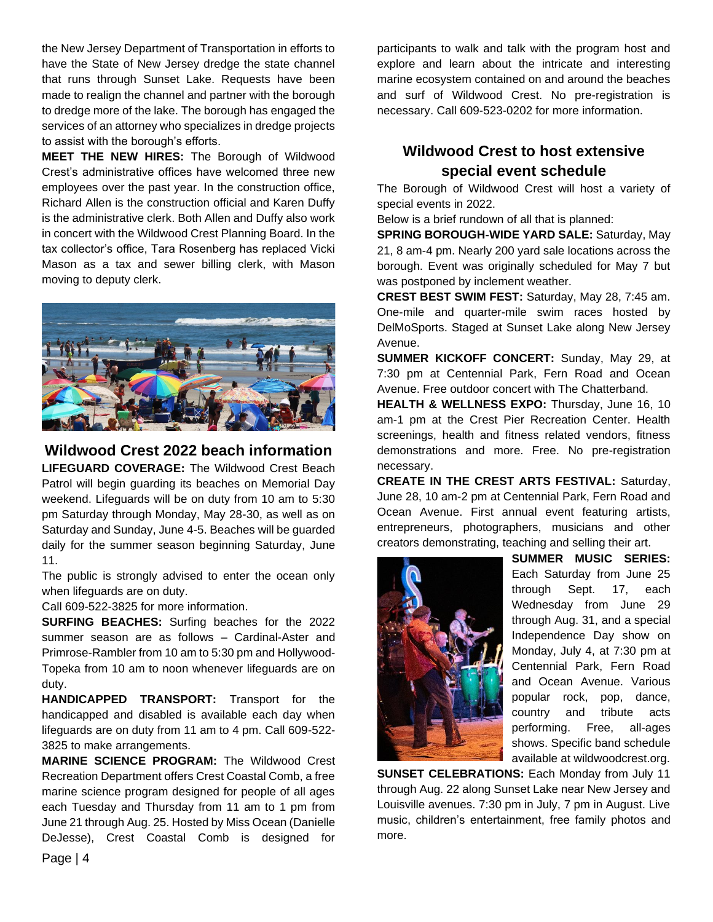the New Jersey Department of Transportation in efforts to have the State of New Jersey dredge the state channel that runs through Sunset Lake. Requests have been made to realign the channel and partner with the borough to dredge more of the lake. The borough has engaged the services of an attorney who specializes in dredge projects to assist with the borough's efforts.

**MEET THE NEW HIRES:** The Borough of Wildwood Crest's administrative offices have welcomed three new employees over the past year. In the construction office, Richard Allen is the construction official and Karen Duffy is the administrative clerk. Both Allen and Duffy also work in concert with the Wildwood Crest Planning Board. In the tax collector's office, Tara Rosenberg has replaced Vicki Mason as a tax and sewer billing clerk, with Mason moving to deputy clerk.



#### **Wildwood Crest 2022 beach information**

**LIFEGUARD COVERAGE:** The Wildwood Crest Beach Patrol will begin guarding its beaches on Memorial Day weekend. Lifeguards will be on duty from 10 am to 5:30 pm Saturday through Monday, May 28-30, as well as on Saturday and Sunday, June 4-5. Beaches will be guarded daily for the summer season beginning Saturday, June 11.

The public is strongly advised to enter the ocean only when lifeguards are on duty.

Call 609-522-3825 for more information.

**SURFING BEACHES:** Surfing beaches for the 2022 summer season are as follows – Cardinal-Aster and Primrose-Rambler from 10 am to 5:30 pm and Hollywood-Topeka from 10 am to noon whenever lifeguards are on duty.

**HANDICAPPED TRANSPORT:** Transport for the handicapped and disabled is available each day when lifeguards are on duty from 11 am to 4 pm. Call 609-522- 3825 to make arrangements.

**MARINE SCIENCE PROGRAM:** The Wildwood Crest Recreation Department offers Crest Coastal Comb, a free marine science program designed for people of all ages each Tuesday and Thursday from 11 am to 1 pm from June 21 through Aug. 25. Hosted by Miss Ocean (Danielle DeJesse), Crest Coastal Comb is designed for participants to walk and talk with the program host and explore and learn about the intricate and interesting marine ecosystem contained on and around the beaches and surf of Wildwood Crest. No pre-registration is necessary. Call 609-523-0202 for more information.

### **Wildwood Crest to host extensive special event schedule**

The Borough of Wildwood Crest will host a variety of special events in 2022.

Below is a brief rundown of all that is planned:

**SPRING BOROUGH-WIDE YARD SALE:** Saturday, May 21, 8 am-4 pm. Nearly 200 yard sale locations across the borough. Event was originally scheduled for May 7 but was postponed by inclement weather.

**CREST BEST SWIM FEST:** Saturday, May 28, 7:45 am. One-mile and quarter-mile swim races hosted by DelMoSports. Staged at Sunset Lake along New Jersey Avenue.

**SUMMER KICKOFF CONCERT:** Sunday, May 29, at 7:30 pm at Centennial Park, Fern Road and Ocean Avenue. Free outdoor concert with The Chatterband.

**HEALTH & WELLNESS EXPO:** Thursday, June 16, 10 am-1 pm at the Crest Pier Recreation Center. Health screenings, health and fitness related vendors, fitness demonstrations and more. Free. No pre-registration necessary.

**CREATE IN THE CREST ARTS FESTIVAL:** Saturday, June 28, 10 am-2 pm at Centennial Park, Fern Road and Ocean Avenue. First annual event featuring artists, entrepreneurs, photographers, musicians and other creators demonstrating, teaching and selling their art.



**SUMMER MUSIC SERIES:** Each Saturday from June 25 through Sept. 17, each Wednesday from June 29 through Aug. 31, and a special Independence Day show on Monday, July 4, at 7:30 pm at Centennial Park, Fern Road and Ocean Avenue. Various popular rock, pop, dance, country and tribute acts performing. Free, all-ages shows. Specific band schedule available at wildwoodcrest.org.

**SUNSET CELEBRATIONS:** Each Monday from July 11 through Aug. 22 along Sunset Lake near New Jersey and Louisville avenues. 7:30 pm in July, 7 pm in August. Live music, children's entertainment, free family photos and more.

Page | 4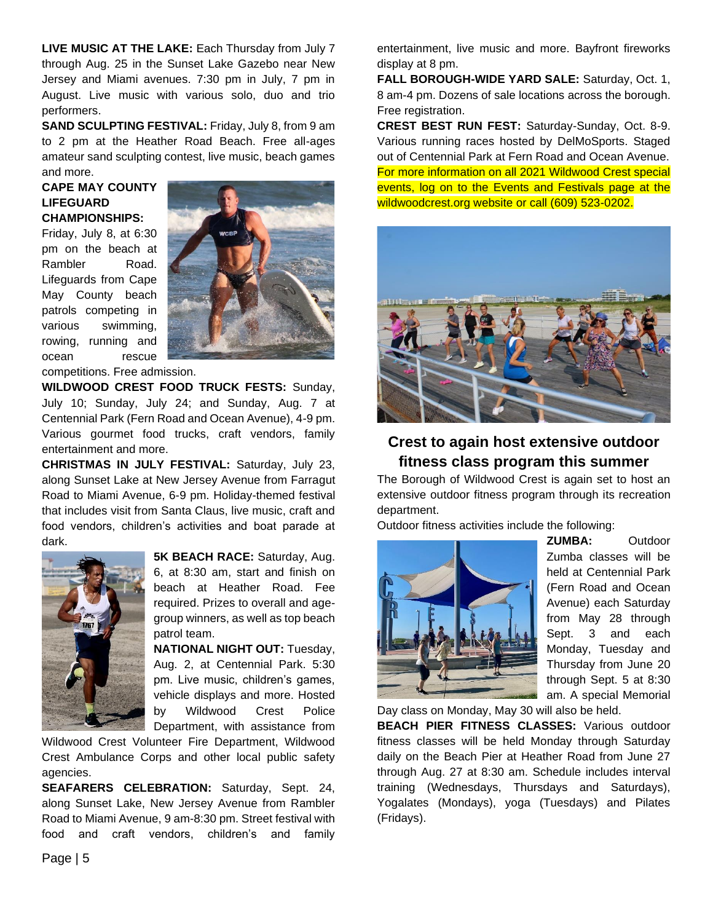**LIVE MUSIC AT THE LAKE:** Each Thursday from July 7 through Aug. 25 in the Sunset Lake Gazebo near New Jersey and Miami avenues. 7:30 pm in July, 7 pm in August. Live music with various solo, duo and trio performers.

**SAND SCULPTING FESTIVAL:** Friday, July 8, from 9 am to 2 pm at the Heather Road Beach. Free all-ages amateur sand sculpting contest, live music, beach games and more.

#### **CAPE MAY COUNTY LIFEGUARD CHAMPIONSHIPS:**

Friday, July 8, at 6:30 pm on the beach at Rambler Road. Lifeguards from Cape May County beach patrols competing in various swimming, rowing, running and ocean rescue



competitions. Free admission.

**WILDWOOD CREST FOOD TRUCK FESTS:** Sunday, July 10; Sunday, July 24; and Sunday, Aug. 7 at Centennial Park (Fern Road and Ocean Avenue), 4-9 pm. Various gourmet food trucks, craft vendors, family entertainment and more.

**CHRISTMAS IN JULY FESTIVAL:** Saturday, July 23, along Sunset Lake at New Jersey Avenue from Farragut Road to Miami Avenue, 6-9 pm. Holiday-themed festival that includes visit from Santa Claus, live music, craft and food vendors, children's activities and boat parade at dark.



**5K BEACH RACE:** Saturday, Aug. 6, at 8:30 am, start and finish on beach at Heather Road. Fee required. Prizes to overall and agegroup winners, as well as top beach patrol team.

**NATIONAL NIGHT OUT:** Tuesday, Aug. 2, at Centennial Park. 5:30 pm. Live music, children's games, vehicle displays and more. Hosted by Wildwood Crest Police Department, with assistance from

Wildwood Crest Volunteer Fire Department, Wildwood Crest Ambulance Corps and other local public safety agencies.

**SEAFARERS CELEBRATION:** Saturday, Sept. 24, along Sunset Lake, New Jersey Avenue from Rambler Road to Miami Avenue, 9 am-8:30 pm. Street festival with food and craft vendors, children's and family

entertainment, live music and more. Bayfront fireworks display at 8 pm.

**FALL BOROUGH-WIDE YARD SALE:** Saturday, Oct. 1, 8 am-4 pm. Dozens of sale locations across the borough. Free registration.

**CREST BEST RUN FEST:** Saturday-Sunday, Oct. 8-9. Various running races hosted by DelMoSports. Staged out of Centennial Park at Fern Road and Ocean Avenue. For more information on all 2021 Wildwood Crest special events, log on to the Events and Festivals page at the wildwoodcrest.org website or call (609) 523-0202.



### **Crest to again host extensive outdoor fitness class program this summer**

The Borough of Wildwood Crest is again set to host an extensive outdoor fitness program through its recreation department.

Outdoor fitness activities include the following:



**ZUMBA:** Outdoor Zumba classes will be held at Centennial Park (Fern Road and Ocean Avenue) each Saturday from May 28 through Sept. 3 and each Monday, Tuesday and Thursday from June 20 through Sept. 5 at 8:30 am. A special Memorial

Day class on Monday, May 30 will also be held. **BEACH PIER FITNESS CLASSES:** Various outdoor fitness classes will be held Monday through Saturday daily on the Beach Pier at Heather Road from June 27 through Aug. 27 at 8:30 am. Schedule includes interval training (Wednesdays, Thursdays and Saturdays), Yogalates (Mondays), yoga (Tuesdays) and Pilates (Fridays).

Page | 5